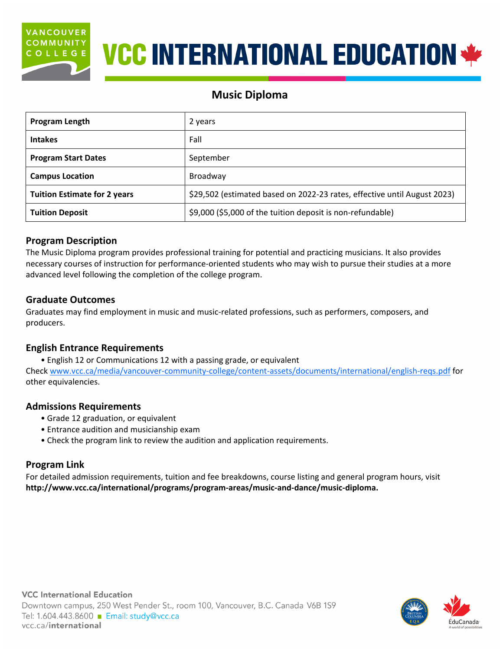

# **VCC INTERNATIONAL EDUCATION \*\***

# **Music Diploma**

| Program Length                      | 2 years                                                                  |  |
|-------------------------------------|--------------------------------------------------------------------------|--|
| <b>Intakes</b>                      | Fall                                                                     |  |
| <b>Program Start Dates</b>          | September                                                                |  |
| <b>Campus Location</b>              | Broadway                                                                 |  |
| <b>Tuition Estimate for 2 years</b> | \$29,502 (estimated based on 2022-23 rates, effective until August 2023) |  |
| <b>Tuition Deposit</b>              | \$9,000 (\$5,000 of the tuition deposit is non-refundable)               |  |

# **Program Description**

The Music Diploma program provides professional training for potential and practicing musicians. It also provides necessary courses of instruction for performance-oriented students who may wish to pursue their studies at a more advanced level following the completion of the college program.

# **Graduate Outcomes**

Graduates may find employment in music and music-related professions, such as performers, composers, and producers.

# **English Entrance Requirements**

• English 12 or Communications 12 with a passing grade, or equivalent Check [www.vcc.ca/media/vancouver-community-college/content-assets/documents/international/english-reqs.pdf](http://www.vcc.ca/media/vancouver-community-college/content-assets/documents/international/english-reqs.pdf) for other equivalencies.

# **Admissions Requirements**

- Grade 12 graduation, or equivalent
- Entrance audition and musicianship exam
- Check the program link to review the audition and application requirements.

# **Program Link**

For detailed admission requirements, tuition and fee breakdowns, course listing and general program hours, visit **[http://www.vcc.ca/international/programs/program-areas/music-and-dance/music-diploma.](http://www.vcc.ca/international/programs/program-areas/music-and-dance/music-diploma)**